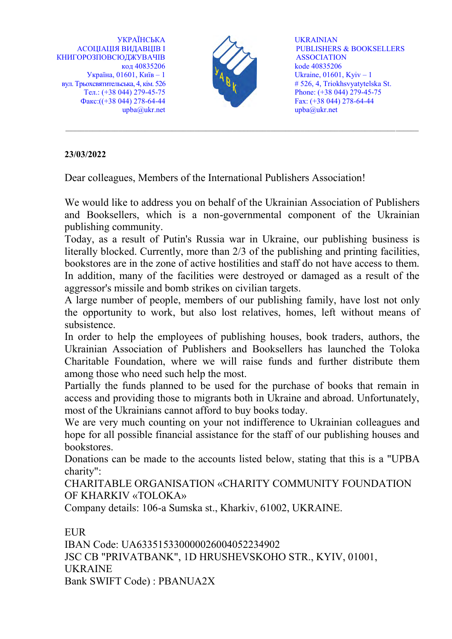УКРАЇНСЬКА АСОЦІАЦІЯ ВИДАВЦІВ І КНИГОРОЗПОВСЮДЖУВАЧІВ код 40835206 Україна, 01601, Київ – 1 вул. Трьохсвятительська, 4, кім. 526 Тел.: (+38 044) 279-45-75 Факс:((+38 044) 278-64-44 upba@ukr.net



UKRAINIAN PUBLISHERS & BOOKSELLERS ASSOCIATION kode 40835206 Ukraine, 01601, Kyiv – 1 # 526, 4, Triokhsvyatytelska St. Phone: (+38 044) 279-45-75 Fax: (+38 044) 278-64-44 upba@ukr.net

## **23/03/2022**

Dear colleagues, Members of the International Publishers Association!

We would like to address you on behalf of the Ukrainian Association of Publishers and Booksellers, which is a non-governmental component of the Ukrainian publishing community.

 $\bot$  , and the contribution of the contribution of the contribution of the contribution of the contribution of  $\bot$ 

Today, as a result of Putin's Russia war in Ukraine, our publishing business is literally blocked. Currently, more than 2/3 of the publishing and printing facilities, bookstores are in the zone of active hostilities and staff do not have access to them. In addition, many of the facilities were destroyed or damaged as a result of the aggressor's missile and bomb strikes on civilian targets.

A large number of people, members of our publishing family, have lost not only the opportunity to work, but also lost relatives, homes, left without means of subsistence.

In order to help the employees of publishing houses, book traders, authors, the Ukrainian Association of Publishers and Booksellers has launched the Toloka Charitable Foundation, where we will raise funds and further distribute them among those who need such help the most.

Partially the funds planned to be used for the purchase of books that remain in access and providing those to migrants both in Ukraine and abroad. Unfortunately, most of the Ukrainians cannot afford to buy books today.

We are very much counting on your not indifference to Ukrainian colleagues and hope for all possible financial assistance for the staff of our publishing houses and bookstores.

Donations can be made to the accounts listed below, stating that this is a "UPBA charity":

CHARITABLE ORGANISATION «CHARITY COMMUNITY FOUNDATION OF KHARKIV «TOLOKA»

Company details: 106-a Sumska st., Kharkiv, 61002, UKRAINE.

**EUR** IBAN Code: UA633515330000026004052234902 JSC CB "PRIVATBANK", 1D HRUSHEVSKOHO STR., KYIV, 01001, UKRAINE Bank SWIFT Code) : PBANUA2X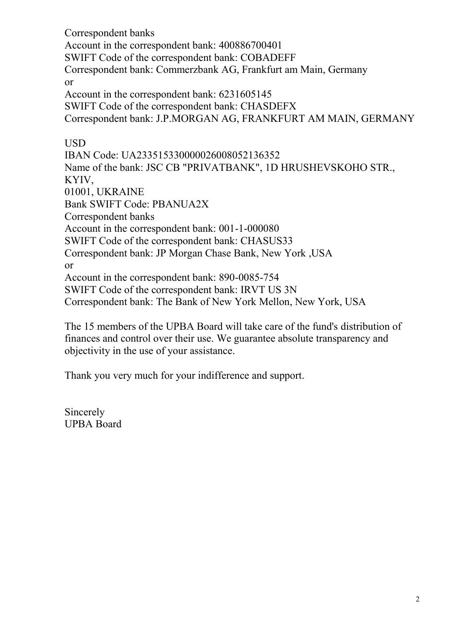Correspondent banks Account in the correspondent bank: 400886700401 SWIFT Code of the correspondent bank: COBADEFF Correspondent bank: Commerzbank AG, Frankfurt am Main, Germany or Account in the correspondent bank: 6231605145 SWIFT Code of the correspondent bank: CHASDEFX Correspondent bank: J.P.MORGAN AG, FRANKFURT AM MAIN, GERMANY USD IBAN Code: UA233515330000026008052136352 Name of the bank: JSC CB "PRIVATBANK", 1D HRUSHEVSKOHO STR., KYIV, 01001, UKRAINE Bank SWIFT Code: PBANUA2X Correspondent banks Account in the correspondent bank: 001-1-000080 SWIFT Code of the correspondent bank: CHASUS33 Correspondent bank: JP Morgan Chase Bank, New York ,USA

or

Account in the correspondent bank: 890-0085-754

SWIFT Code of the correspondent bank: IRVT US 3N

Correspondent bank: The Bank of New York Mellon, New York, USA

The 15 members of the UPBA Board will take care of the fund's distribution of finances and control over their use. We guarantee absolute transparency and objectivity in the use of your assistance.

Thank you very much for your indifference and support.

Sincerely UPBA Board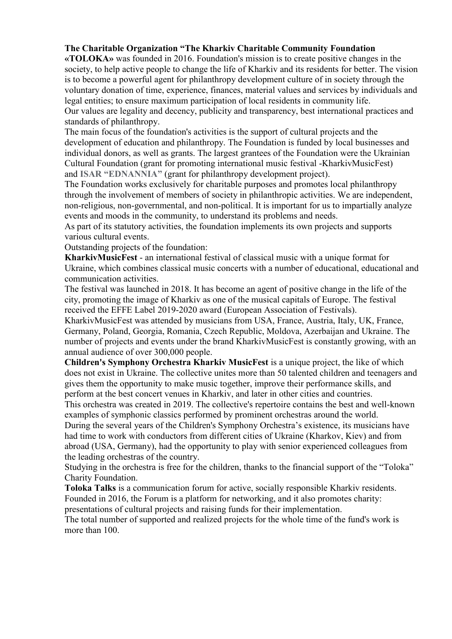## **The Charitable Organization "The Kharkiv Charitable Community Foundation**

**«TOLOKA»** was founded in 2016. Foundation's mission is to create positive changes in the society, to help active people to change the life of Kharkiv and its residents for better. The vision is to become a powerful agent for philanthropy development culture of in society through the voluntary donation of time, experience, finances, material values and services by individuals and legal entities; to ensure maximum participation of local residents in community life. Our values are legality and decency, publicity and transparency, best international practices and standards of philanthropy.

The main focus of the foundation's activities is the support of cultural projects and the development of education and philanthropy. The Foundation is funded by local businesses and individual donors, as well as grants. The largest grantees of the Foundation were the Ukrainian Cultural Foundation (grant for promoting international music festival -KharkivMusicFest) and **ISAR "EDNANNIA"** (grant for philanthropy development project).

The Foundation works exclusively for charitable purposes and promotes local philanthropy through the involvement of members of society in philanthropic activities. We are independent, non-religious, non-governmental, and non-political. It is important for us to impartially analyze events and moods in the community, to understand its problems and needs.

As part of its statutory activities, the foundation implements its own projects and supports various cultural events.

Outstanding projects of the foundation:

**KharkivMusicFest** - an international festival of classical music with a unique format for Ukraine, which combines classical music concerts with a number of educational, educational and communication activities.

The festival was launched in 2018. It has become an agent of positive change in the life of the city, promoting the image of Kharkiv as one of the musical capitals of Europe. The festival received the EFFE Label 2019-2020 award (European Association of Festivals).

KharkivMusicFest was attended by musicians from USA, France, Austria, Italy, UK, France, Germany, Poland, Georgia, Romania, Czech Republic, Moldova, Azerbaijan and Ukraine. The number of projects and events under the brand KharkivMusicFest is constantly growing, with an annual audience of over 300,000 people.

**Children's Symphony Orchestra Kharkiv MusicFest** is a unique project, the like of which does not exist in Ukraine. The collective unites more than 50 talented children and teenagers and gives them the opportunity to make music together, improve their performance skills, and perform at the best concert venues in Kharkiv, and later in other cities and countries.

This orchestra was created in 2019. The collective's repertoire contains the best and well-known examples of symphonic classics performed by prominent orchestras around the world.

During the several years of the Children's Symphony Orchestra's existence, its musicians have had time to work with conductors from different cities of Ukraine (Kharkov, Kiev) and from abroad (USA, Germany), had the opportunity to play with senior experienced colleagues from the leading orchestras of the country.

Studying in the orchestra is free for the children, thanks to the financial support of the "Toloka" Charity Foundation.

**Toloka Talks** is a communication forum for active, socially responsible Kharkiv residents. Founded in 2016, the Forum is a platform for networking, and it also promotes charity: presentations of cultural projects and raising funds for their implementation.

The total number of supported and realized projects for the whole time of the fund's work is more than 100.